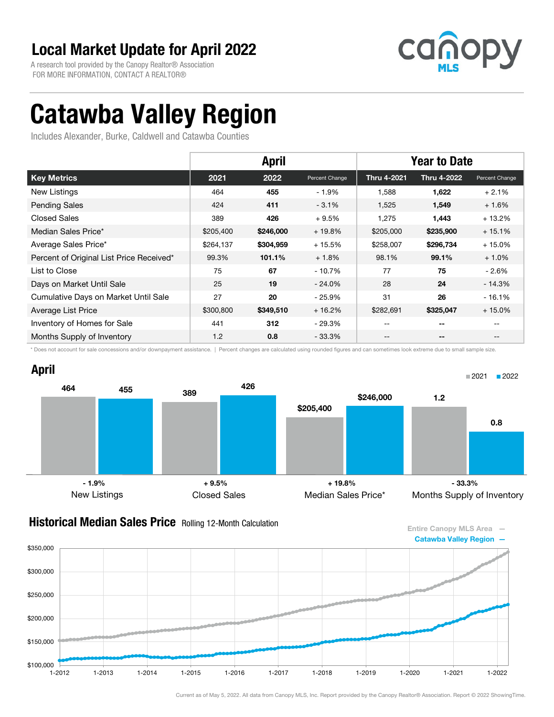A research tool provided by the Canopy Realtor® Association FOR MORE INFORMATION, CONTACT A REALTOR®



# Catawba Valley Region

Includes Alexander, Burke, Caldwell and Catawba Counties

|                                          | <b>April</b> |           |                | <b>Year to Date</b> |             |                |
|------------------------------------------|--------------|-----------|----------------|---------------------|-------------|----------------|
| <b>Key Metrics</b>                       | 2021         | 2022      | Percent Change | Thru 4-2021         | Thru 4-2022 | Percent Change |
| New Listings                             | 464          | 455       | $-1.9%$        | 1,588               | 1,622       | $+2.1%$        |
| <b>Pending Sales</b>                     | 424          | 411       | $-3.1%$        | 1,525               | 1,549       | $+1.6%$        |
| Closed Sales                             | 389          | 426       | $+9.5%$        | 1,275               | 1,443       | $+13.2%$       |
| Median Sales Price*                      | \$205,400    | \$246,000 | $+19.8%$       | \$205,000           | \$235,900   | $+15.1%$       |
| Average Sales Price*                     | \$264,137    | \$304,959 | $+15.5%$       | \$258,007           | \$296,734   | $+15.0%$       |
| Percent of Original List Price Received* | 99.3%        | 101.1%    | $+1.8%$        | 98.1%               | 99.1%       | $+1.0%$        |
| List to Close                            | 75           | 67        | $-10.7%$       | 77                  | 75          | $-2.6\%$       |
| Days on Market Until Sale                | 25           | 19        | $-24.0\%$      | 28                  | 24          | - 14.3%        |
| Cumulative Days on Market Until Sale     | 27           | 20        | $-25.9\%$      | 31                  | 26          | $-16.1%$       |
| Average List Price                       | \$300,800    | \$349,510 | $+16.2%$       | \$282,691           | \$325,047   | $+15.0%$       |
| Inventory of Homes for Sale              | 441          | 312       | $-29.3%$       | --                  | --          | $- -$          |
| Months Supply of Inventory               | 1.2          | 0.8       | $-33.3%$       | --                  | --          | $- -$          |

\* Does not account for sale concessions and/or downpayment assistance. | Percent changes are calculated using rounded figures and can sometimes look extreme due to small sample size.





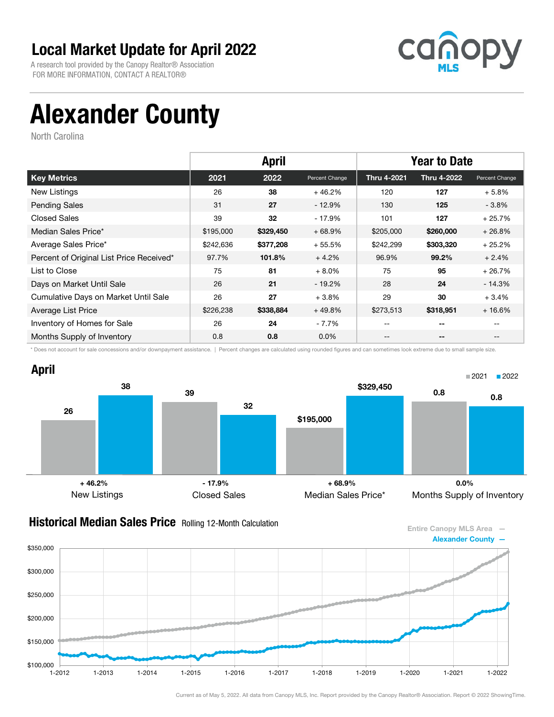A research tool provided by the Canopy Realtor® Association FOR MORE INFORMATION, CONTACT A REALTOR®



# Alexander County

North Carolina

|                                          |           | <b>April</b> |                |             | <b>Year to Date</b> |                |
|------------------------------------------|-----------|--------------|----------------|-------------|---------------------|----------------|
| <b>Key Metrics</b>                       | 2021      | 2022         | Percent Change | Thru 4-2021 | Thru 4-2022         | Percent Change |
| New Listings                             | 26        | 38           | $+46.2%$       | 120         | 127                 | $+5.8%$        |
| <b>Pending Sales</b>                     | 31        | 27           | $-12.9%$       | 130         | 125                 | $-3.8%$        |
| <b>Closed Sales</b>                      | 39        | 32           | $-17.9%$       | 101         | 127                 | $+25.7%$       |
| Median Sales Price*                      | \$195,000 | \$329,450    | $+68.9%$       | \$205,000   | \$260,000           | $+26.8%$       |
| Average Sales Price*                     | \$242,636 | \$377,208    | $+55.5%$       | \$242,299   | \$303,320           | $+25.2%$       |
| Percent of Original List Price Received* | 97.7%     | 101.8%       | $+4.2%$        | 96.9%       | 99.2%               | $+2.4%$        |
| List to Close                            | 75        | 81           | $+8.0%$        | 75          | 95                  | $+26.7%$       |
| Days on Market Until Sale                | 26        | 21           | $-19.2\%$      | 28          | 24                  | $-14.3%$       |
| Cumulative Days on Market Until Sale     | 26        | 27           | $+3.8%$        | 29          | 30                  | $+3.4%$        |
| Average List Price                       | \$226,238 | \$338,884    | $+49.8%$       | \$273,513   | \$318,951           | $+16.6%$       |
| Inventory of Homes for Sale              | 26        | 24           | $-7.7%$        | --          | --                  |                |
| Months Supply of Inventory               | 0.8       | 0.8          | $0.0\%$        | --          | --                  |                |

\* Does not account for sale concessions and/or downpayment assistance. | Percent changes are calculated using rounded figures and can sometimes look extreme due to small sample size.



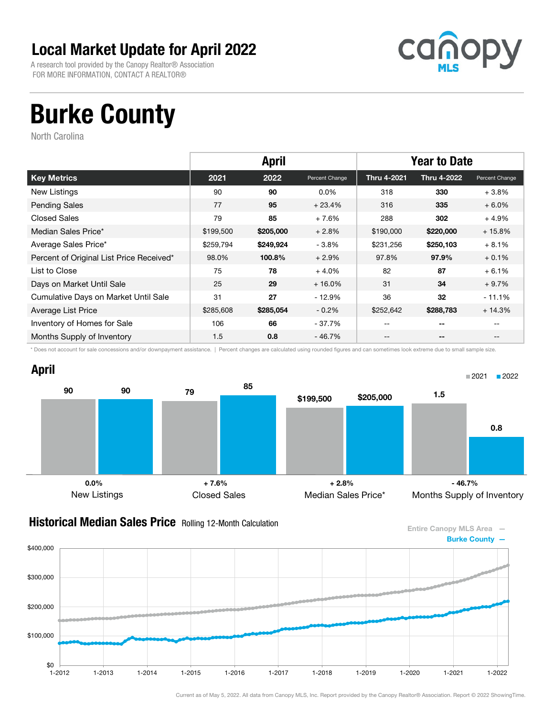A research tool provided by the Canopy Realtor® Association FOR MORE INFORMATION, CONTACT A REALTOR®



## Burke County

North Carolina

|                                          |           | <b>April</b> |                |             | <b>Year to Date</b> |                   |
|------------------------------------------|-----------|--------------|----------------|-------------|---------------------|-------------------|
| <b>Key Metrics</b>                       | 2021      | 2022         | Percent Change | Thru 4-2021 | Thru 4-2022         | Percent Change    |
| New Listings                             | 90        | 90           | $0.0\%$        | 318         | 330                 | $+3.8%$           |
| <b>Pending Sales</b>                     | 77        | 95           | $+23.4%$       | 316         | 335                 | $+6.0%$           |
| <b>Closed Sales</b>                      | 79        | 85           | $+7.6%$        | 288         | 302                 | $+4.9%$           |
| Median Sales Price*                      | \$199,500 | \$205,000    | $+2.8%$        | \$190,000   | \$220,000           | $+15.8%$          |
| Average Sales Price*                     | \$259,794 | \$249,924    | $-3.8%$        | \$231,256   | \$250,103           | $+8.1%$           |
| Percent of Original List Price Received* | 98.0%     | 100.8%       | $+2.9%$        | 97.8%       | 97.9%               | $+0.1%$           |
| List to Close                            | 75        | 78           | $+4.0%$        | 82          | 87                  | $+6.1%$           |
| Days on Market Until Sale                | 25        | 29           | $+16.0%$       | 31          | 34                  | $+9.7%$           |
| Cumulative Days on Market Until Sale     | 31        | 27           | $-12.9%$       | 36          | 32                  | $-11.1%$          |
| Average List Price                       | \$285,608 | \$285,054    | $-0.2%$        | \$252,642   | \$288,783           | $+14.3%$          |
| Inventory of Homes for Sale              | 106       | 66           | - 37.7%        | $- -$       | $-$                 |                   |
| Months Supply of Inventory               | 1.5       | 0.8          | - 46.7%        | --          | --                  | $\qquad \qquad -$ |

\* Does not account for sale concessions and/or downpayment assistance. | Percent changes are calculated using rounded figures and can sometimes look extreme due to small sample size.

#### April



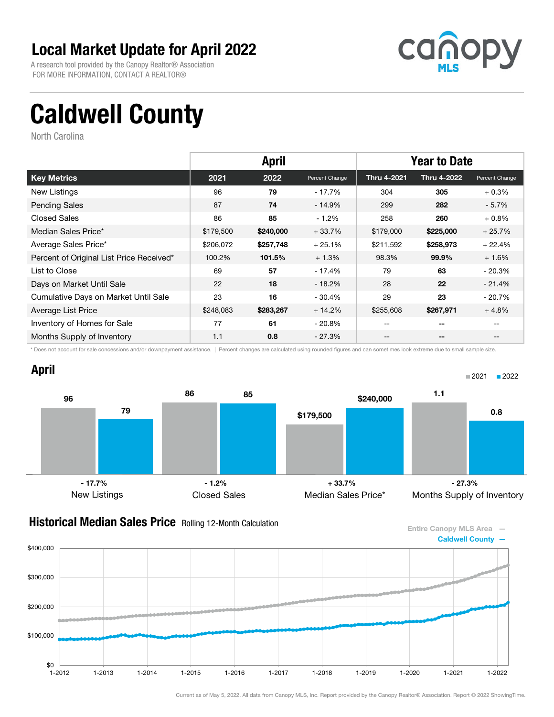A research tool provided by the Canopy Realtor® Association FOR MORE INFORMATION, CONTACT A REALTOR®



■2021 2022

# Caldwell County

North Carolina

|                                          |           | <b>April</b> |                |             | <b>Year to Date</b> |                |
|------------------------------------------|-----------|--------------|----------------|-------------|---------------------|----------------|
| <b>Key Metrics</b>                       | 2021      | 2022         | Percent Change | Thru 4-2021 | Thru 4-2022         | Percent Change |
| New Listings                             | 96        | 79           | - 17.7%        | 304         | 305                 | $+0.3%$        |
| <b>Pending Sales</b>                     | 87        | 74           | $-14.9%$       | 299         | 282                 | $-5.7\%$       |
| <b>Closed Sales</b>                      | 86        | 85           | $-1.2%$        | 258         | 260                 | $+0.8%$        |
| Median Sales Price*                      | \$179,500 | \$240,000    | $+33.7%$       | \$179,000   | \$225,000           | $+25.7%$       |
| Average Sales Price*                     | \$206,072 | \$257,748    | $+25.1%$       | \$211,592   | \$258,973           | $+22.4%$       |
| Percent of Original List Price Received* | 100.2%    | 101.5%       | $+1.3%$        | 98.3%       | 99.9%               | $+1.6%$        |
| List to Close                            | 69        | 57           | - 17.4%        | 79          | 63                  | $-20.3%$       |
| Days on Market Until Sale                | 22        | 18           | - 18.2%        | 28          | 22                  | $-21.4%$       |
| Cumulative Days on Market Until Sale     | 23        | 16           | $-30.4%$       | 29          | 23                  | $-20.7\%$      |
| Average List Price                       | \$248,083 | \$283,267    | $+14.2%$       | \$255,608   | \$267,971           | $+4.8%$        |
| Inventory of Homes for Sale              | 77        | 61           | $-20.8\%$      | $- -$       | $-$                 |                |
| Months Supply of Inventory               | 1.1       | 0.8          | $-27.3%$       | --          | --                  | $- -$          |

\* Does not account for sale concessions and/or downpayment assistance. | Percent changes are calculated using rounded figures and can sometimes look extreme due to small sample size.

### April



#### **Historical Median Sales Price** Rolling 12-Month Calculation



Current as of May 5, 2022. All data from Canopy MLS, Inc. Report provided by the Canopy Realtor® Association. Report © 2022 ShowingTime.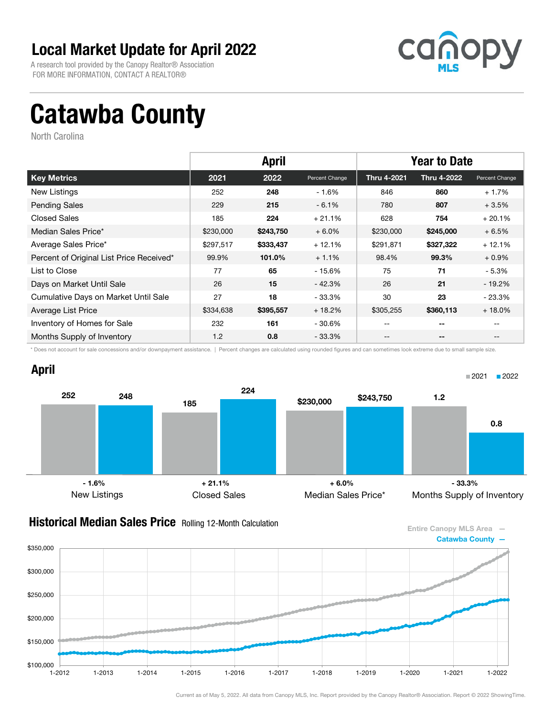A research tool provided by the Canopy Realtor® Association FOR MORE INFORMATION, CONTACT A REALTOR®



# Catawba County

North Carolina

|                                          |           | <b>April</b> |                | <b>Year to Date</b> |             |                   |
|------------------------------------------|-----------|--------------|----------------|---------------------|-------------|-------------------|
| <b>Key Metrics</b>                       | 2021      | 2022         | Percent Change | Thru 4-2021         | Thru 4-2022 | Percent Change    |
| New Listings                             | 252       | 248          | $-1.6%$        | 846                 | 860         | $+1.7%$           |
| <b>Pending Sales</b>                     | 229       | 215          | $-6.1%$        | 780                 | 807         | $+3.5%$           |
| <b>Closed Sales</b>                      | 185       | 224          | $+21.1%$       | 628                 | 754         | $+20.1%$          |
| Median Sales Price*                      | \$230,000 | \$243,750    | $+6.0%$        | \$230,000           | \$245,000   | $+6.5%$           |
| Average Sales Price*                     | \$297,517 | \$333,437    | $+12.1%$       | \$291,871           | \$327,322   | $+12.1%$          |
| Percent of Original List Price Received* | 99.9%     | 101.0%       | $+1.1%$        | 98.4%               | 99.3%       | $+0.9\%$          |
| List to Close                            | 77        | 65           | - 15.6%        | 75                  | 71          | - 5.3%            |
| Days on Market Until Sale                | 26        | 15           | $-42.3%$       | 26                  | 21          | $-19.2\%$         |
| Cumulative Days on Market Until Sale     | 27        | 18           | - 33.3%        | 30                  | 23          | $-23.3%$          |
| Average List Price                       | \$334,638 | \$395,557    | $+18.2%$       | \$305,255           | \$360,113   | $+18.0%$          |
| Inventory of Homes for Sale              | 232       | 161          | - 30.6%        | $- -$               | $-$         |                   |
| Months Supply of Inventory               | 1.2       | 0.8          | - 33.3%        | --                  | --          | $\qquad \qquad -$ |

\* Does not account for sale concessions and/or downpayment assistance. | Percent changes are calculated using rounded figures and can sometimes look extreme due to small sample size.

### April



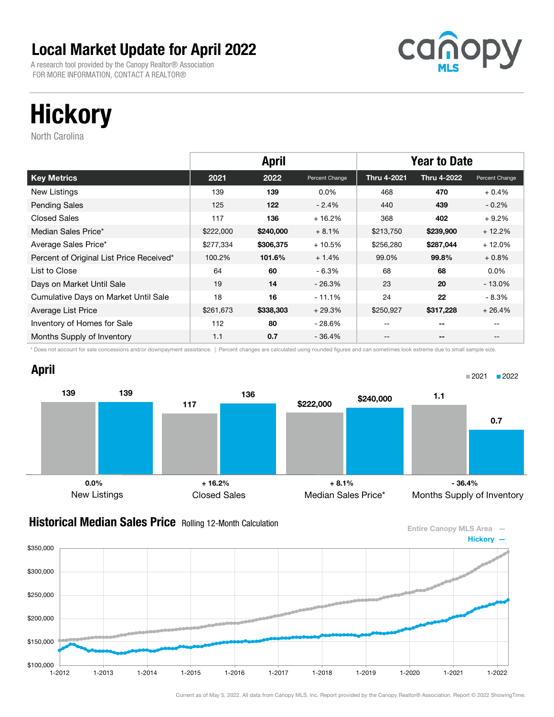A research tool provided by the Canopy Realtor® Association FOR MORE INFORMATION, CONTACT A REALTOR®



# **Hickory**

North Carolina

|                                          |           | <b>April</b> |                | <b>Year to Date</b> |             |                   |
|------------------------------------------|-----------|--------------|----------------|---------------------|-------------|-------------------|
| <b>Key Metrics</b>                       | 2021      | 2022         | Percent Change | Thru 4-2021         | Thru 4-2022 | Percent Change    |
| New Listings                             | 139       | 139          | $0.0\%$        | 468                 | 470         | $+0.4%$           |
| <b>Pending Sales</b>                     | 125       | 122          | $-2.4%$        | 440                 | 439         | $-0.2\%$          |
| <b>Closed Sales</b>                      | 117       | 136          | $+16.2%$       | 368                 | 402         | $+9.2%$           |
| Median Sales Price*                      | \$222,000 | \$240,000    | $+8.1%$        | \$213,750           | \$239,900   | $+12.2%$          |
| Average Sales Price*                     | \$277,334 | \$306,375    | $+10.5%$       | \$256,280           | \$287,044   | $+12.0%$          |
| Percent of Original List Price Received* | 100.2%    | 101.6%       | $+1.4%$        | 99.0%               | 99.8%       | $+0.8%$           |
| List to Close                            | 64        | 60           | $-6.3%$        | 68                  | 68          | $0.0\%$           |
| Days on Market Until Sale                | 19        | 14           | $-26.3%$       | 23                  | 20          | $-13.0\%$         |
| Cumulative Days on Market Until Sale     | 18        | 16           | $-11.1%$       | 24                  | 22          | - 8.3%            |
| Average List Price                       | \$261,673 | \$338,303    | $+29.3%$       | \$250,927           | \$317,228   | $+26.4%$          |
| Inventory of Homes for Sale              | 112       | 80           | - 28.6%        | $- -$               | $-$         |                   |
| Months Supply of Inventory               | 1.1       | 0.7          | - 36.4%        | --                  | --          | $\qquad \qquad -$ |

\* Does not account for sale concessions and/or downpayment assistance. | Percent changes are calculated using rounded figures and can sometimes look extreme due to small sample size.



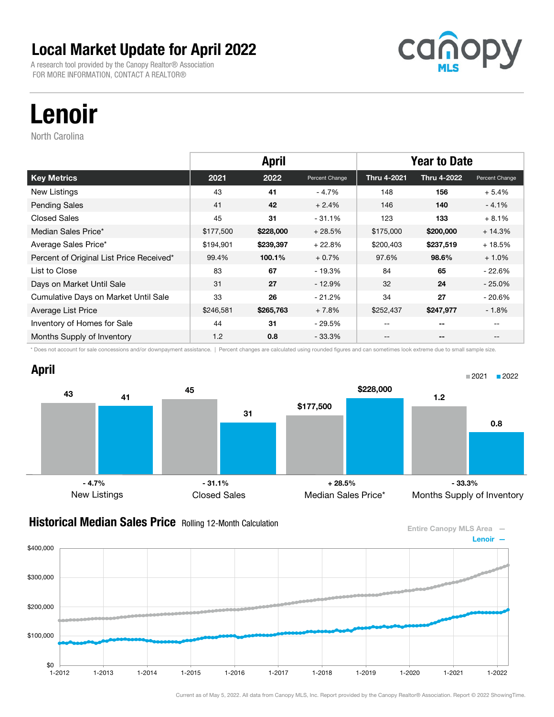A research tool provided by the Canopy Realtor® Association FOR MORE INFORMATION, CONTACT A REALTOR®



# Lenoir

North Carolina

|                                          |           | <b>April</b> |                |             | <b>Year to Date</b> |                |
|------------------------------------------|-----------|--------------|----------------|-------------|---------------------|----------------|
| <b>Key Metrics</b>                       | 2021      | 2022         | Percent Change | Thru 4-2021 | Thru 4-2022         | Percent Change |
| New Listings                             | 43        | 41           | $-4.7%$        | 148         | 156                 | $+5.4%$        |
| <b>Pending Sales</b>                     | 41        | 42           | $+2.4%$        | 146         | 140                 | $-4.1%$        |
| Closed Sales                             | 45        | 31           | $-31.1%$       | 123         | 133                 | $+8.1%$        |
| Median Sales Price*                      | \$177,500 | \$228,000    | $+28.5%$       | \$175,000   | \$200,000           | $+14.3%$       |
| Average Sales Price*                     | \$194,901 | \$239,397    | $+22.8%$       | \$200,403   | \$237,519           | $+18.5%$       |
| Percent of Original List Price Received* | 99.4%     | 100.1%       | $+0.7%$        | 97.6%       | 98.6%               | $+1.0%$        |
| List to Close                            | 83        | 67           | - 19.3%        | 84          | 65                  | $-22.6%$       |
| Days on Market Until Sale                | 31        | 27           | $-12.9%$       | 32          | 24                  | $-25.0%$       |
| Cumulative Days on Market Until Sale     | 33        | 26           | $-21.2%$       | 34          | 27                  | $-20.6%$       |
| Average List Price                       | \$246,581 | \$265,763    | $+7.8%$        | \$252,437   | \$247,977           | $-1.8\%$       |
| Inventory of Homes for Sale              | 44        | 31           | $-29.5%$       | $-$         | $-$                 |                |
| Months Supply of Inventory               | 1.2       | 0.8          | $-33.3\%$      | --          | --                  | $- -$          |

\* Does not account for sale concessions and/or downpayment assistance. | Percent changes are calculated using rounded figures and can sometimes look extreme due to small sample size.

### April



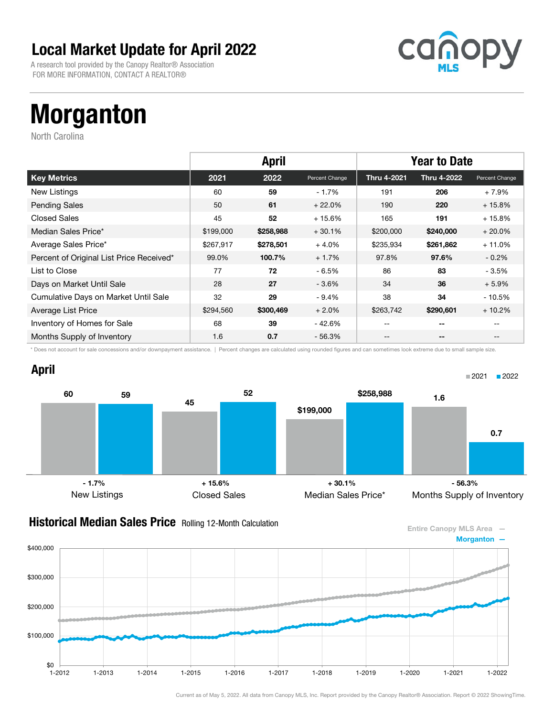A research tool provided by the Canopy Realtor® Association FOR MORE INFORMATION, CONTACT A REALTOR®



# Morganton

North Carolina

|                                          |           | <b>April</b> |                |             | <b>Year to Date</b> |                   |
|------------------------------------------|-----------|--------------|----------------|-------------|---------------------|-------------------|
| <b>Key Metrics</b>                       | 2021      | 2022         | Percent Change | Thru 4-2021 | Thru 4-2022         | Percent Change    |
| New Listings                             | 60        | 59           | $-1.7%$        | 191         | 206                 | $+7.9%$           |
| <b>Pending Sales</b>                     | 50        | 61           | $+22.0%$       | 190         | 220                 | $+15.8%$          |
| <b>Closed Sales</b>                      | 45        | 52           | $+15.6%$       | 165         | 191                 | $+15.8%$          |
| Median Sales Price*                      | \$199,000 | \$258,988    | $+30.1%$       | \$200,000   | \$240,000           | $+20.0%$          |
| Average Sales Price*                     | \$267,917 | \$278,501    | $+4.0%$        | \$235,934   | \$261,862           | $+11.0%$          |
| Percent of Original List Price Received* | 99.0%     | 100.7%       | $+1.7%$        | 97.8%       | 97.6%               | $-0.2\%$          |
| List to Close                            | 77        | 72           | $-6.5%$        | 86          | 83                  | - 3.5%            |
| Days on Market Until Sale                | 28        | 27           | $-3.6%$        | 34          | 36                  | $+5.9%$           |
| Cumulative Days on Market Until Sale     | 32        | 29           | $-9.4%$        | 38          | 34                  | - 10.5%           |
| Average List Price                       | \$294,560 | \$300,469    | $+2.0%$        | \$263,742   | \$290,601           | $+10.2%$          |
| Inventory of Homes for Sale              | 68        | 39           | - 42.6%        | $- -$       | $-$                 |                   |
| Months Supply of Inventory               | 1.6       | 0.7          | - 56.3%        | --          | --                  | $\qquad \qquad -$ |

\* Does not account for sale concessions and/or downpayment assistance. | Percent changes are calculated using rounded figures and can sometimes look extreme due to small sample size.





#### **Historical Median Sales Price** Rolling 12-Month Calculation



Current as of May 5, 2022. All data from Canopy MLS, Inc. Report provided by the Canopy Realtor® Association. Report © 2022 ShowingTime.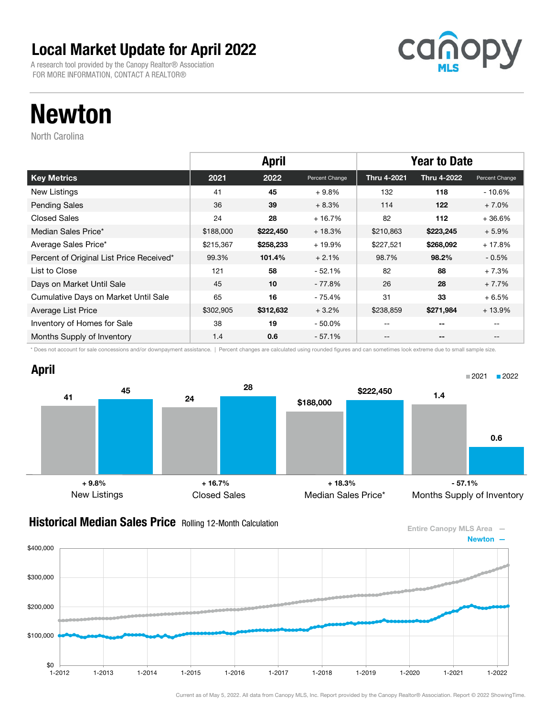A research tool provided by the Canopy Realtor® Association FOR MORE INFORMATION, CONTACT A REALTOR®



## Newton

North Carolina

|                                          |           | <b>April</b> |                | <b>Year to Date</b> |             |                   |
|------------------------------------------|-----------|--------------|----------------|---------------------|-------------|-------------------|
| <b>Key Metrics</b>                       | 2021      | 2022         | Percent Change | Thru 4-2021         | Thru 4-2022 | Percent Change    |
| New Listings                             | 41        | 45           | $+9.8%$        | 132                 | 118         | - 10.6%           |
| <b>Pending Sales</b>                     | 36        | 39           | $+8.3%$        | 114                 | 122         | $+7.0%$           |
| <b>Closed Sales</b>                      | 24        | 28           | $+16.7%$       | 82                  | 112         | $+36.6%$          |
| Median Sales Price*                      | \$188,000 | \$222,450    | $+18.3%$       | \$210,863           | \$223,245   | $+5.9%$           |
| Average Sales Price*                     | \$215,367 | \$258,233    | $+19.9%$       | \$227,521           | \$268,092   | $+17.8%$          |
| Percent of Original List Price Received* | 99.3%     | 101.4%       | $+2.1%$        | 98.7%               | 98.2%       | $-0.5\%$          |
| List to Close                            | 121       | 58           | $-52.1%$       | 82                  | 88          | $+7.3%$           |
| Days on Market Until Sale                | 45        | 10           | - 77.8%        | 26                  | 28          | $+7.7%$           |
| Cumulative Days on Market Until Sale     | 65        | 16           | - 75.4%        | 31                  | 33          | $+6.5%$           |
| Average List Price                       | \$302,905 | \$312,632    | $+3.2%$        | \$238,859           | \$271,984   | $+13.9%$          |
| Inventory of Homes for Sale              | 38        | 19           | $-50.0\%$      | $- -$               | $-$         |                   |
| Months Supply of Inventory               | 1.4       | 0.6          | - 57.1%        | --                  | --          | $\qquad \qquad -$ |

\* Does not account for sale concessions and/or downpayment assistance. | Percent changes are calculated using rounded figures and can sometimes look extreme due to small sample size.



\$0

\$100,000

\$200,000

\$300,000

\$400,000



#### **Historical Median Sales Price** Rolling 12-Month Calculation



1-2012 1-2013 1-2014 1-2015 1-2016 1-2017 1-2018 1-2019 1-2020 1-2021 1-2022